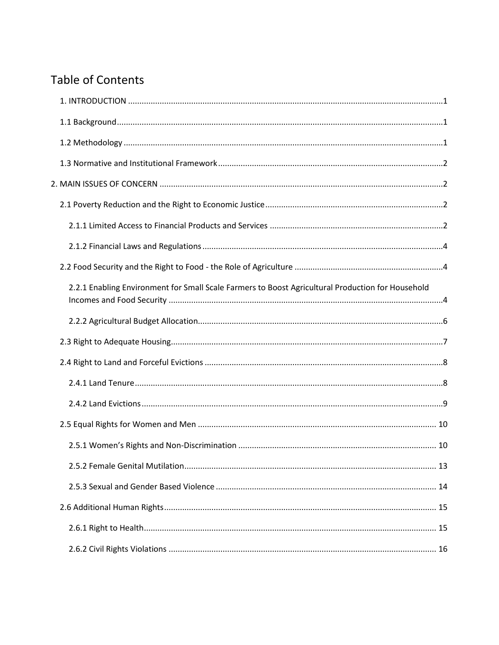# **Table of Contents**

| 2.2.1 Enabling Environment for Small Scale Farmers to Boost Agricultural Production for Household |  |
|---------------------------------------------------------------------------------------------------|--|
|                                                                                                   |  |
|                                                                                                   |  |
|                                                                                                   |  |
|                                                                                                   |  |
|                                                                                                   |  |
|                                                                                                   |  |
|                                                                                                   |  |
|                                                                                                   |  |
|                                                                                                   |  |
|                                                                                                   |  |
|                                                                                                   |  |
|                                                                                                   |  |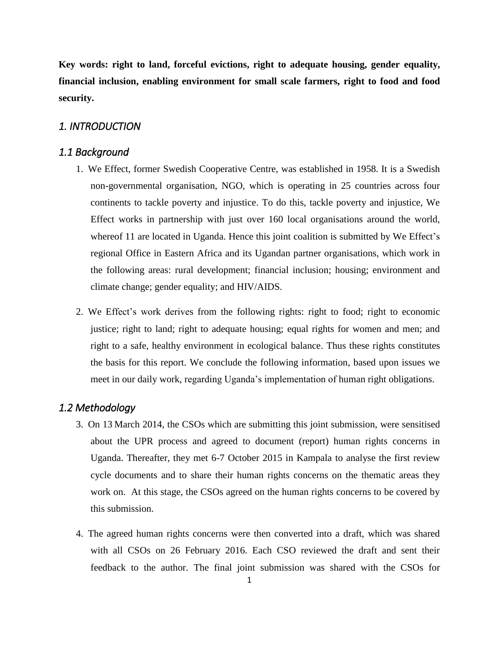**Key words: right to land, forceful evictions, right to adequate housing, gender equality, financial inclusion, enabling environment for small scale farmers, right to food and food security.**

## <span id="page-1-0"></span>*1. INTRODUCTION*

#### <span id="page-1-1"></span>*1.1 Background*

- 1. We Effect, former Swedish Cooperative Centre, was established in 1958. It is a Swedish non-governmental organisation, NGO, which is operating in 25 countries across four continents to tackle poverty and injustice. To do this, tackle poverty and injustice, We Effect works in partnership with just over 160 local organisations around the world, whereof 11 are located in Uganda. Hence this joint coalition is submitted by We Effect's regional Office in Eastern Africa and its Ugandan partner organisations, which work in the following areas: rural development; financial inclusion; housing; environment and climate change; gender equality; and HIV/AIDS.
- 2. We Effect's work derives from the following rights: right to food; right to economic justice; right to land; right to adequate housing; equal rights for women and men; and right to a safe, healthy environment in ecological balance. Thus these rights constitutes the basis for this report. We conclude the following information, based upon issues we meet in our daily work, regarding Uganda's implementation of human right obligations.

## <span id="page-1-2"></span>*1.2 Methodology*

- 3. On 13 March 2014, the CSOs which are submitting this joint submission, were sensitised about the UPR process and agreed to document (report) human rights concerns in Uganda. Thereafter, they met 6-7 October 2015 in Kampala to analyse the first review cycle documents and to share their human rights concerns on the thematic areas they work on. At this stage, the CSOs agreed on the human rights concerns to be covered by this submission.
- 4. The agreed human rights concerns were then converted into a draft, which was shared with all CSOs on 26 February 2016. Each CSO reviewed the draft and sent their feedback to the author. The final joint submission was shared with the CSOs for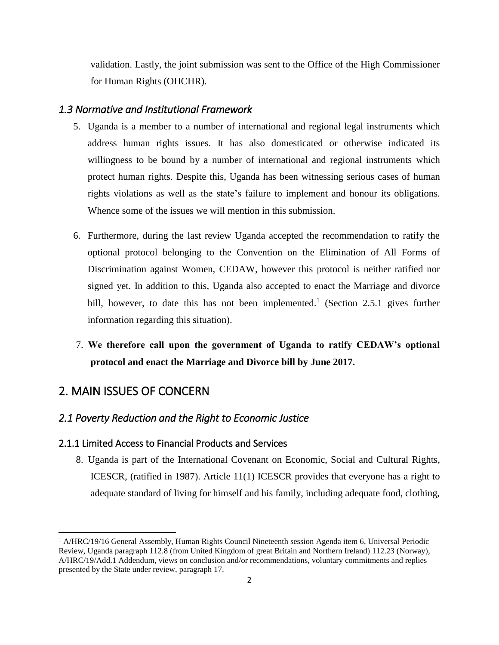validation. Lastly, the joint submission was sent to the Office of the High Commissioner for Human Rights (OHCHR).

# <span id="page-2-0"></span>*1.3 Normative and Institutional Framework*

- 5. Uganda is a member to a number of international and regional legal instruments which address human rights issues. It has also domesticated or otherwise indicated its willingness to be bound by a number of international and regional instruments which protect human rights. Despite this, Uganda has been witnessing serious cases of human rights violations as well as the state's failure to implement and honour its obligations. Whence some of the issues we will mention in this submission.
- 6. Furthermore, during the last review Uganda accepted the recommendation to ratify the optional protocol belonging to the Convention on the Elimination of All Forms of Discrimination against Women, CEDAW, however this protocol is neither ratified nor signed yet. In addition to this, Uganda also accepted to enact the Marriage and divorce bill, however, to date this has not been implemented.<sup>1</sup> (Section 2.5.1 gives further information regarding this situation).
- 7. **We therefore call upon the government of Uganda to ratify CEDAW's optional protocol and enact the Marriage and Divorce bill by June 2017.**

# <span id="page-2-1"></span>2. MAIN ISSUES OF CONCERN

 $\overline{a}$ 

# <span id="page-2-2"></span>*2.1 Poverty Reduction and the Right to Economic Justice*

#### <span id="page-2-3"></span>2.1.1 Limited Access to Financial Products and Services

8. Uganda is part of the International Covenant on Economic, Social and Cultural Rights, ICESCR, (ratified in 1987). Article 11(1) ICESCR provides that everyone has a right to adequate standard of living for himself and his family, including adequate food, clothing,

<sup>&</sup>lt;sup>1</sup> A/HRC/19/16 General Assembly, Human Rights Council Nineteenth session Agenda item 6, Universal Periodic Review, Uganda paragraph 112.8 (from United Kingdom of great Britain and Northern Ireland) 112.23 (Norway), A/HRC/19/Add.1 Addendum, views on conclusion and/or recommendations, voluntary commitments and replies presented by the State under review, paragraph 17.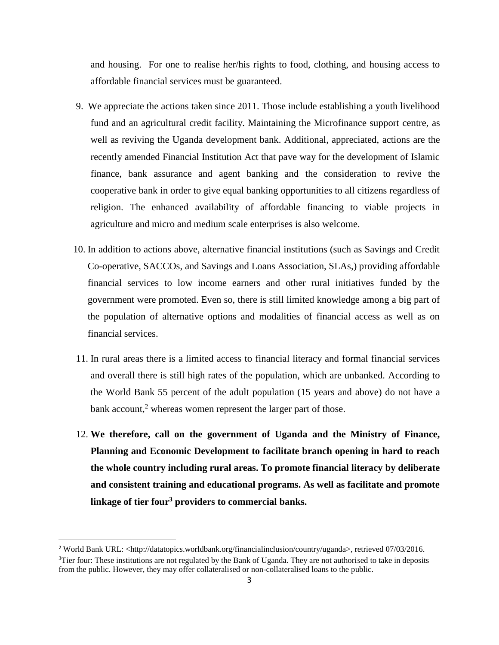and housing. For one to realise her/his rights to food, clothing, and housing access to affordable financial services must be guaranteed.

- 9. We appreciate the actions taken since 2011. Those include establishing a youth livelihood fund and an agricultural credit facility. Maintaining the Microfinance support centre, as well as reviving the Uganda development bank. Additional, appreciated, actions are the recently amended Financial Institution Act that pave way for the development of Islamic finance, bank assurance and agent banking and the consideration to revive the cooperative bank in order to give equal banking opportunities to all citizens regardless of religion. The enhanced availability of affordable financing to viable projects in agriculture and micro and medium scale enterprises is also welcome.
- 10. In addition to actions above, alternative financial institutions (such as Savings and Credit Co-operative, SACCOs, and Savings and Loans Association, SLAs,) providing affordable financial services to low income earners and other rural initiatives funded by the government were promoted. Even so, there is still limited knowledge among a big part of the population of alternative options and modalities of financial access as well as on financial services.
- 11. In rural areas there is a limited access to financial literacy and formal financial services and overall there is still high rates of the population, which are unbanked. According to the World Bank 55 percent of the adult population (15 years and above) do not have a bank account,<sup>2</sup> whereas women represent the larger part of those.
- 12. **We therefore, call on the government of Uganda and the Ministry of Finance, Planning and Economic Development to facilitate branch opening in hard to reach the whole country including rural areas. To promote financial literacy by deliberate and consistent training and educational programs. As well as facilitate and promote linkage of tier four <sup>3</sup> providers to commercial banks.**

<sup>&</sup>lt;sup>2</sup> World Bank URL: <http://datatopics.worldbank.org/financialinclusion/country/uganda>, retrieved 07/03/2016. <sup>3</sup>Tier four: These institutions are not regulated by the Bank of Uganda. They are not authorised to take in deposits from the public. However, they may offer collateralised or non-collateralised loans to the public.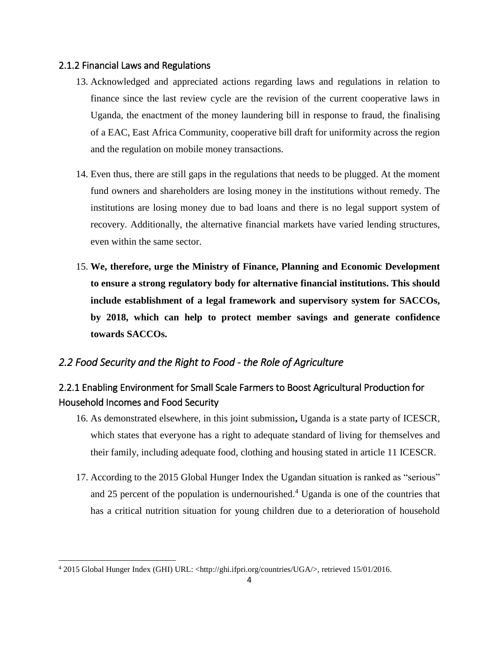#### <span id="page-4-0"></span>2.1.2 Financial Laws and Regulations

- 13. Acknowledged and appreciated actions regarding laws and regulations in relation to finance since the last review cycle are the revision of the current cooperative laws in Uganda, the enactment of the money laundering bill in response to fraud, the finalising of a EAC, East Africa Community, cooperative bill draft for uniformity across the region and the regulation on mobile money transactions.
- 14. Even thus, there are still gaps in the regulations that needs to be plugged. At the moment fund owners and shareholders are losing money in the institutions without remedy. The institutions are losing money due to bad loans and there is no legal support system of recovery. Additionally, the alternative financial markets have varied lending structures, even within the same sector.
- 15. **We, therefore, urge the Ministry of Finance, Planning and Economic Development to ensure a strong regulatory body for alternative financial institutions. This should include establishment of a legal framework and supervisory system for SACCOs, by 2018, which can help to protect member savings and generate confidence towards SACCOs.**

# <span id="page-4-1"></span>*2.2 Food Security and the Right to Food - the Role of Agriculture*

# <span id="page-4-2"></span>2.2.1 Enabling Environment for Small Scale Farmers to Boost Agricultural Production for Household Incomes and Food Security

- 16. As demonstrated elsewhere, in this joint submission**,** Uganda is a state party of ICESCR*,*  which states that everyone has a right to adequate standard of living for themselves and their family, including adequate food, clothing and housing stated in article 11 ICESCR.
- 17. According to the 2015 Global Hunger Index the Ugandan situation is ranked as "serious" and 25 percent of the population is undernourished.<sup>4</sup> Uganda is one of the countries that has a critical nutrition situation for young children due to a deterioration of household

 $\overline{\phantom{a}}$ 

<sup>4</sup> 2015 Global Hunger Index (GHI) URL: <http://ghi.ifpri.org/countries/UGA/>, retrieved 15/01/2016.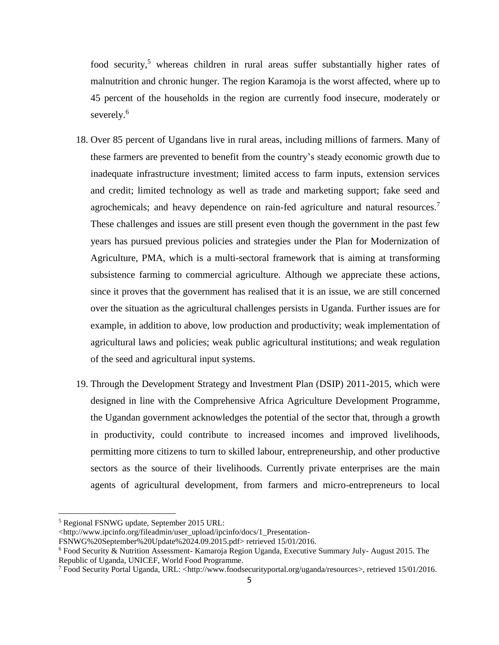food security,<sup>5</sup> whereas children in rural areas suffer substantially higher rates of malnutrition and chronic hunger. The region Karamoja is the worst affected, where up to 45 percent of the households in the region are currently food insecure, moderately or severely.<sup>6</sup>

- 18. Over 85 percent of Ugandans live in rural areas, including millions of farmers. Many of these farmers are prevented to benefit from the country's steady economic growth due to inadequate infrastructure investment; limited access to farm inputs, extension services and credit; limited technology as well as trade and marketing support; fake seed and agrochemicals; and heavy dependence on rain-fed agriculture and natural resources.<sup>7</sup> These challenges and issues are still present even though the government in the past few years has pursued previous policies and strategies under the Plan for Modernization of Agriculture, PMA, which is a multi-sectoral framework that is aiming at transforming subsistence farming to commercial agriculture. Although we appreciate these actions, since it proves that the government has realised that it is an issue, we are still concerned over the situation as the agricultural challenges persists in Uganda. Further issues are for example, in addition to above, low production and productivity; weak implementation of agricultural laws and policies; weak public agricultural institutions; and weak regulation of the seed and agricultural input systems.
- 19. Through the Development Strategy and Investment Plan (DSIP) 2011-2015, which were designed in line with the Comprehensive Africa Agriculture Development Programme, the Ugandan government acknowledges the potential of the sector that, through a growth in productivity, could contribute to increased incomes and improved livelihoods, permitting more citizens to turn to skilled labour, entrepreneurship, and other productive sectors as the source of their livelihoods. Currently private enterprises are the main agents of agricultural development, from farmers and micro-entrepreneurs to local

 $\overline{\phantom{a}}$ 

<sup>5</sup> Regional FSNWG update, September 2015 URL:

<sup>&</sup>lt;http://www.ipcinfo.org/fileadmin/user\_upload/ipcinfo/docs/1\_Presentation-

FSNWG%20September%20Update%2024.09.2015.pdf> retrieved 15/01/2016.

<sup>6</sup> Food Security & Nutrition Assessment- Kamaroja Region Uganda, Executive Summary July- August 2015. The Republic of Uganda, UNICEF, World Food Programme.

<sup>7</sup> Food Security Portal Uganda, URL: [<http://www.foodsecurityportal.org/uganda/resources>](http://www.foodsecurityportal.org/uganda/resources), retrieved 15/01/2016.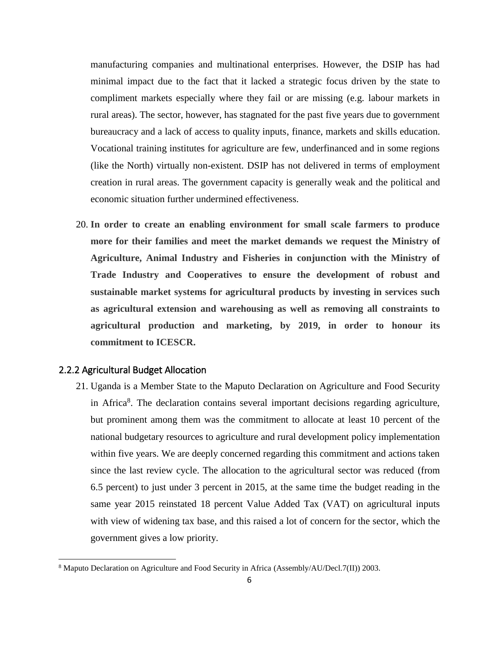manufacturing companies and multinational enterprises. However, the DSIP has had minimal impact due to the fact that it lacked a strategic focus driven by the state to compliment markets especially where they fail or are missing (e.g. labour markets in rural areas). The sector, however, has stagnated for the past five years due to government bureaucracy and a lack of access to quality inputs, finance, markets and skills education. Vocational training institutes for agriculture are few, underfinanced and in some regions (like the North) virtually non-existent. DSIP has not delivered in terms of employment creation in rural areas. The government capacity is generally weak and the political and economic situation further undermined effectiveness.

20. **In order to create an enabling environment for small scale farmers to produce more for their families and meet the market demands we request the Ministry of Agriculture, Animal Industry and Fisheries in conjunction with the Ministry of Trade Industry and Cooperatives to ensure the development of robust and sustainable market systems for agricultural products by investing in services such as agricultural extension and warehousing as well as removing all constraints to agricultural production and marketing, by 2019, in order to honour its commitment to ICESCR.**

#### <span id="page-6-0"></span>2.2.2 Agricultural Budget Allocation

l

21. Uganda is a Member State to the Maputo Declaration on Agriculture and Food Security in Africa<sup>8</sup>. The declaration contains several important decisions regarding agriculture, but prominent among them was the commitment to allocate at least 10 percent of the national budgetary resources to agriculture and rural development policy implementation within five years. We are deeply concerned regarding this commitment and actions taken since the last review cycle. The allocation to the agricultural sector was reduced (from 6.5 percent) to just under 3 percent in 2015, at the same time the budget reading in the same year 2015 reinstated 18 percent Value Added Tax (VAT) on agricultural inputs with view of widening tax base, and this raised a lot of concern for the sector, which the government gives a low priority.

<sup>8</sup> Maputo Declaration on Agriculture and Food Security in Africa (Assembly/AU/Decl.7(II)) 2003.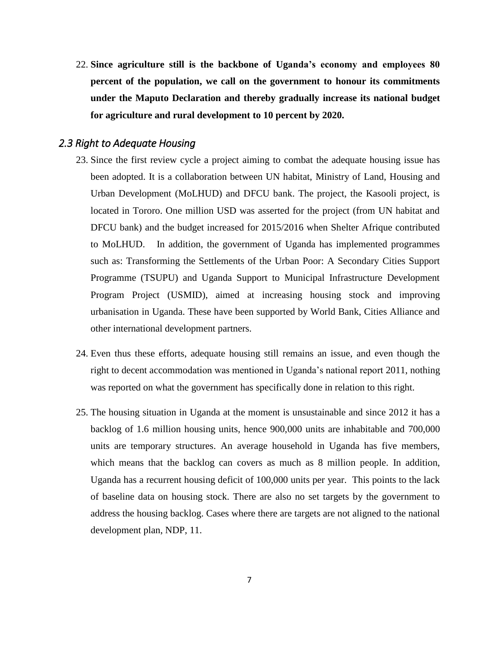22. **Since agriculture still is the backbone of Uganda's economy and employees 80 percent of the population, we call on the government to honour its commitments under the Maputo Declaration and thereby gradually increase its national budget for agriculture and rural development to 10 percent by 2020.**

# <span id="page-7-0"></span>*2.3 Right to Adequate Housing*

- 23. Since the first review cycle a project aiming to combat the adequate housing issue has been adopted. It is a collaboration between UN habitat, Ministry of Land, Housing and Urban Development (MoLHUD) and DFCU bank. The project, the Kasooli project, is located in Tororo. One million USD was asserted for the project (from UN habitat and DFCU bank) and the budget increased for 2015/2016 when Shelter Afrique contributed to MoLHUD. In addition, the government of Uganda has implemented programmes such as: Transforming the Settlements of the Urban Poor: A Secondary Cities Support Programme (TSUPU) and Uganda Support to Municipal Infrastructure Development Program Project (USMID), aimed at increasing housing stock and improving urbanisation in Uganda. These have been supported by World Bank, Cities Alliance and other international development partners.
- 24. Even thus these efforts, adequate housing still remains an issue, and even though the right to decent accommodation was mentioned in Uganda's national report 2011, nothing was reported on what the government has specifically done in relation to this right.
- 25. The housing situation in Uganda at the moment is unsustainable and since 2012 it has a backlog of 1.6 million housing units, hence 900,000 units are inhabitable and 700,000 units are temporary structures. An average household in Uganda has five members, which means that the backlog can covers as much as 8 million people. In addition, Uganda has a recurrent housing deficit of 100,000 units per year. This points to the lack of baseline data on housing stock. There are also no set targets by the government to address the housing backlog. Cases where there are targets are not aligned to the national development plan, NDP, 11.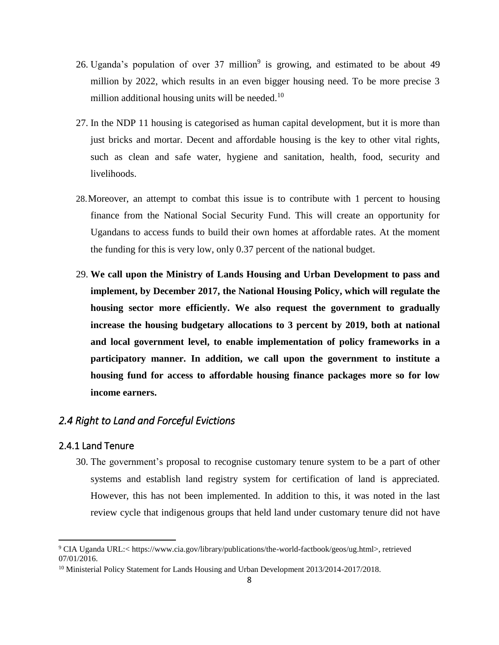- 26. Uganda's population of over  $37$  million<sup>9</sup> is growing, and estimated to be about  $49$ million by 2022, which results in an even bigger housing need. To be more precise 3 million additional housing units will be needed.<sup>10</sup>
- 27. In the NDP 11 housing is categorised as human capital development, but it is more than just bricks and mortar. Decent and affordable housing is the key to other vital rights, such as clean and safe water, hygiene and sanitation, health, food, security and livelihoods.
- 28.Moreover, an attempt to combat this issue is to contribute with 1 percent to housing finance from the National Social Security Fund. This will create an opportunity for Ugandans to access funds to build their own homes at affordable rates. At the moment the funding for this is very low, only 0.37 percent of the national budget.
- 29. **We call upon the Ministry of Lands Housing and Urban Development to pass and implement, by December 2017, the National Housing Policy, which will regulate the housing sector more efficiently. We also request the government to gradually increase the housing budgetary allocations to 3 percent by 2019, both at national and local government level, to enable implementation of policy frameworks in a participatory manner. In addition, we call upon the government to institute a housing fund for access to affordable housing finance packages more so for low income earners.**

#### <span id="page-8-0"></span>*2.4 Right to Land and Forceful Evictions*

#### <span id="page-8-1"></span>2.4.1 Land Tenure

l

30. The government's proposal to recognise customary tenure system to be a part of other systems and establish land registry system for certification of land is appreciated. However, this has not been implemented. In addition to this, it was noted in the last review cycle that indigenous groups that held land under customary tenure did not have

<sup>9</sup> CIA Uganda URL:< https://www.cia.gov/library/publications/the-world-factbook/geos/ug.html>, retrieved 07/01/2016.

<sup>&</sup>lt;sup>10</sup> Ministerial Policy Statement for Lands Housing and Urban Development 2013/2014-2017/2018.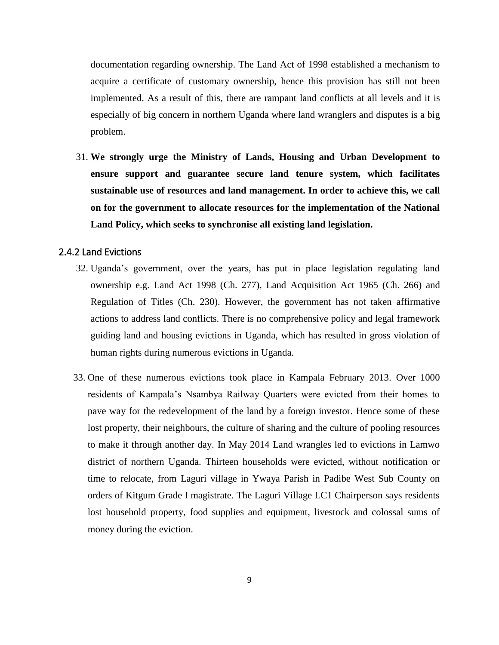documentation regarding ownership. The Land Act of 1998 established a mechanism to acquire a certificate of customary ownership, hence this provision has still not been implemented. As a result of this, there are rampant land conflicts at all levels and it is especially of big concern in northern Uganda where land wranglers and disputes is a big problem.

31. **We strongly urge the Ministry of Lands, Housing and Urban Development to ensure support and guarantee secure land tenure system, which facilitates sustainable use of resources and land management. In order to achieve this, we call on for the government to allocate resources for the implementation of the National Land Policy, which seeks to synchronise all existing land legislation.**

#### <span id="page-9-0"></span>2.4.2 Land Evictions

- 32. Uganda's government, over the years, has put in place legislation regulating land ownership e.g. Land Act 1998 (Ch. 277), Land Acquisition Act 1965 (Ch. 266) and Regulation of Titles (Ch. 230). However, the government has not taken affirmative actions to address land conflicts. There is no comprehensive policy and legal framework guiding land and housing evictions in Uganda, which has resulted in gross violation of human rights during numerous evictions in Uganda.
- 33. One of these numerous evictions took place in Kampala February 2013. Over 1000 residents of Kampala's Nsambya Railway Quarters were evicted from their homes to pave way for the redevelopment of the land by a foreign investor. Hence some of these lost property, their neighbours, the culture of sharing and the culture of pooling resources to make it through another day. In May 2014 Land wrangles led to evictions in Lamwo district of northern Uganda. Thirteen households were evicted, without notification or time to relocate, from Laguri village in Ywaya Parish in Padibe West Sub County on orders of Kitgum Grade I magistrate. The Laguri Village LC1 Chairperson says residents lost household property, food supplies and equipment, livestock and colossal sums of money during the eviction.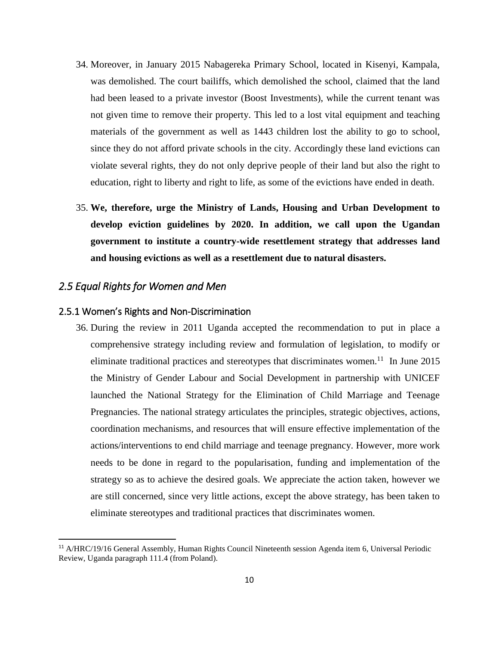- 34. Moreover, in January 2015 Nabagereka Primary School, located in Kisenyi, Kampala, was demolished. The court bailiffs, which demolished the school, claimed that the land had been leased to a private investor (Boost Investments), while the current tenant was not given time to remove their property. This led to a lost vital equipment and teaching materials of the government as well as 1443 children lost the ability to go to school, since they do not afford private schools in the city. Accordingly these land evictions can violate several rights, they do not only deprive people of their land but also the right to education, right to liberty and right to life, as some of the evictions have ended in death.
- 35. **We, therefore, urge the Ministry of Lands, Housing and Urban Development to develop eviction guidelines by 2020. In addition, we call upon the Ugandan government to institute a country-wide resettlement strategy that addresses land and housing evictions as well as a resettlement due to natural disasters.**

# <span id="page-10-0"></span>*2.5 Equal Rights for Women and Men*

 $\overline{a}$ 

#### <span id="page-10-1"></span>2.5.1 Women's Rights and Non-Discrimination

36. During the review in 2011 Uganda accepted the recommendation to put in place a comprehensive strategy including review and formulation of legislation, to modify or eliminate traditional practices and stereotypes that discriminates women.<sup>11</sup> In June 2015 the Ministry of Gender Labour and Social Development in partnership with UNICEF launched the National Strategy for the Elimination of Child Marriage and Teenage Pregnancies. The national strategy articulates the principles, strategic objectives, actions, coordination mechanisms, and resources that will ensure effective implementation of the actions/interventions to end child marriage and teenage pregnancy. However, more work needs to be done in regard to the popularisation, funding and implementation of the strategy so as to achieve the desired goals. We appreciate the action taken, however we are still concerned, since very little actions, except the above strategy, has been taken to eliminate stereotypes and traditional practices that discriminates women.

<sup>11</sup> A/HRC/19/16 General Assembly, Human Rights Council Nineteenth session Agenda item 6, Universal Periodic Review, Uganda paragraph 111.4 (from Poland).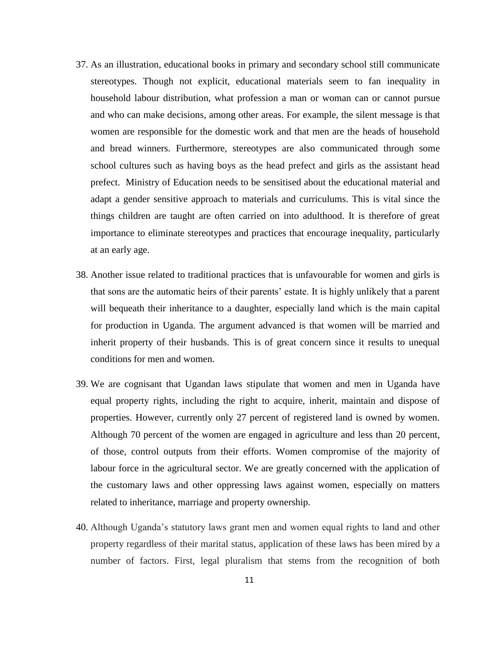- 37. As an illustration, educational books in primary and secondary school still communicate stereotypes. Though not explicit, educational materials seem to fan inequality in household labour distribution, what profession a man or woman can or cannot pursue and who can make decisions, among other areas. For example, the silent message is that women are responsible for the domestic work and that men are the heads of household and bread winners. Furthermore, stereotypes are also communicated through some school cultures such as having boys as the head prefect and girls as the assistant head prefect. Ministry of Education needs to be sensitised about the educational material and adapt a gender sensitive approach to materials and curriculums. This is vital since the things children are taught are often carried on into adulthood. It is therefore of great importance to eliminate stereotypes and practices that encourage inequality, particularly at an early age.
- 38. Another issue related to traditional practices that is unfavourable for women and girls is that sons are the automatic heirs of their parents' estate. It is highly unlikely that a parent will bequeath their inheritance to a daughter, especially land which is the main capital for production in Uganda. The argument advanced is that women will be married and inherit property of their husbands. This is of great concern since it results to unequal conditions for men and women.
- 39. We are cognisant that Ugandan laws stipulate that women and men in Uganda have equal property rights, including the right to acquire, inherit, maintain and dispose of properties. However, currently only 27 percent of registered land is owned by women. Although 70 percent of the women are engaged in agriculture and less than 20 percent, of those, control outputs from their efforts. Women compromise of the majority of labour force in the agricultural sector. We are greatly concerned with the application of the customary laws and other oppressing laws against women, especially on matters related to inheritance, marriage and property ownership.
- 40. Although Uganda's statutory laws grant men and women equal rights to land and other property regardless of their marital status, application of these laws has been mired by a number of factors. First, legal pluralism that stems from the recognition of both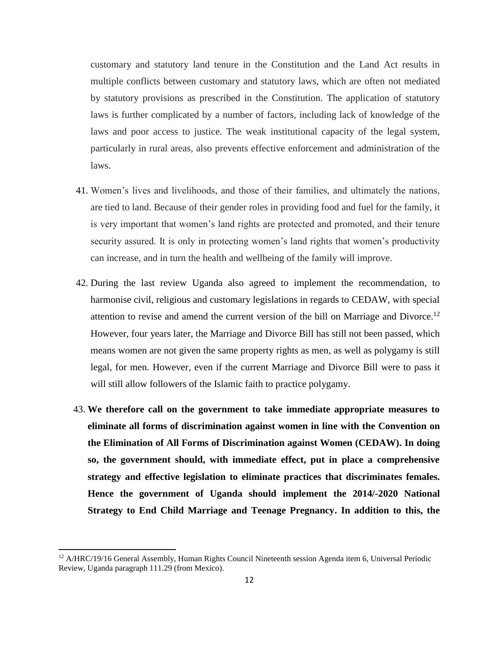customary and statutory land tenure in the Constitution and the Land Act results in multiple conflicts between customary and statutory laws, which are often not mediated by statutory provisions as prescribed in the Constitution. The application of statutory laws is further complicated by a number of factors, including lack of knowledge of the laws and poor access to justice. The weak institutional capacity of the legal system, particularly in rural areas, also prevents effective enforcement and administration of the laws.

- 41. Women's lives and livelihoods, and those of their families, and ultimately the nations, are tied to land. Because of their gender roles in providing food and fuel for the family, it is very important that women's land rights are protected and promoted, and their tenure security assured. It is only in protecting women's land rights that women's productivity can increase, and in turn the health and wellbeing of the family will improve.
- 42. During the last review Uganda also agreed to implement the recommendation, to harmonise civil, religious and customary legislations in regards to CEDAW, with special attention to revise and amend the current version of the bill on Marriage and Divorce.<sup>12</sup> However, four years later, the Marriage and Divorce Bill has still not been passed, which means women are not given the same property rights as men, as well as polygamy is still legal, for men. However, even if the current Marriage and Divorce Bill were to pass it will still allow followers of the Islamic faith to practice polygamy.
- 43. **We therefore call on the government to take immediate appropriate measures to eliminate all forms of discrimination against women in line with the Convention on the Elimination of All Forms of Discrimination against Women (CEDAW). In doing so, the government should, with immediate effect, put in place a comprehensive strategy and effective legislation to eliminate practices that discriminates females. Hence the government of Uganda should implement the 2014/-2020 National Strategy to End Child Marriage and Teenage Pregnancy. In addition to this, the**

<sup>&</sup>lt;sup>12</sup> A/HRC/19/16 General Assembly, Human Rights Council Nineteenth session Agenda item 6, Universal Periodic Review, Uganda paragraph 111.29 (from Mexico).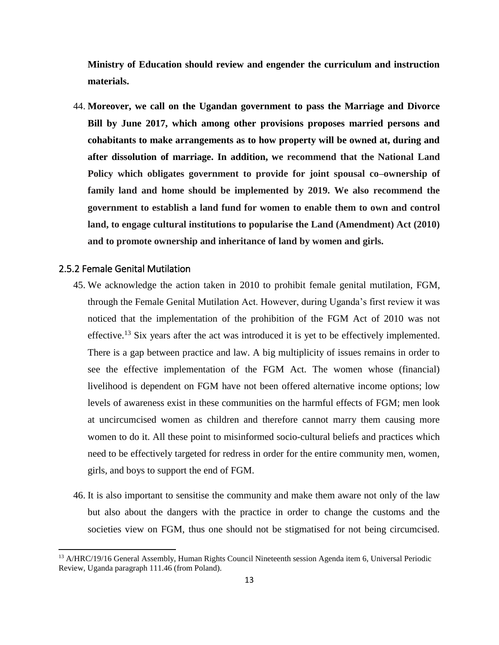**Ministry of Education should review and engender the curriculum and instruction materials.**

44. **Moreover, we call on the Ugandan government to pass the Marriage and Divorce Bill by June 2017, which among other provisions proposes married persons and cohabitants to make arrangements as to how property will be owned at, during and after dissolution of marriage. In addition, we recommend that the National Land Policy which obligates government to provide for joint spousal co–ownership of family land and home should be implemented by 2019. We also recommend the government to establish a land fund for women to enable them to own and control land, to engage cultural institutions to popularise the Land (Amendment) Act (2010) and to promote ownership and inheritance of land by women and girls.** 

#### <span id="page-13-0"></span>2.5.2 Female Genital Mutilation

- 45. We acknowledge the action taken in 2010 to prohibit female genital mutilation, FGM, through the Female Genital Mutilation Act. However, during Uganda's first review it was noticed that the implementation of the prohibition of the FGM Act of 2010 was not effective.<sup>13</sup> Six years after the act was introduced it is yet to be effectively implemented. There is a gap between practice and law. A big multiplicity of issues remains in order to see the effective implementation of the FGM Act. The women whose (financial) livelihood is dependent on FGM have not been offered alternative income options; low levels of awareness exist in these communities on the harmful effects of FGM; men look at uncircumcised women as children and therefore cannot marry them causing more women to do it. All these point to misinformed socio-cultural beliefs and practices which need to be effectively targeted for redress in order for the entire community men, women, girls, and boys to support the end of FGM.
- 46. It is also important to sensitise the community and make them aware not only of the law but also about the dangers with the practice in order to change the customs and the societies view on FGM, thus one should not be stigmatised for not being circumcised.

<sup>&</sup>lt;sup>13</sup> A/HRC/19/16 General Assembly, Human Rights Council Nineteenth session Agenda item 6, Universal Periodic Review, Uganda paragraph 111.46 (from Poland).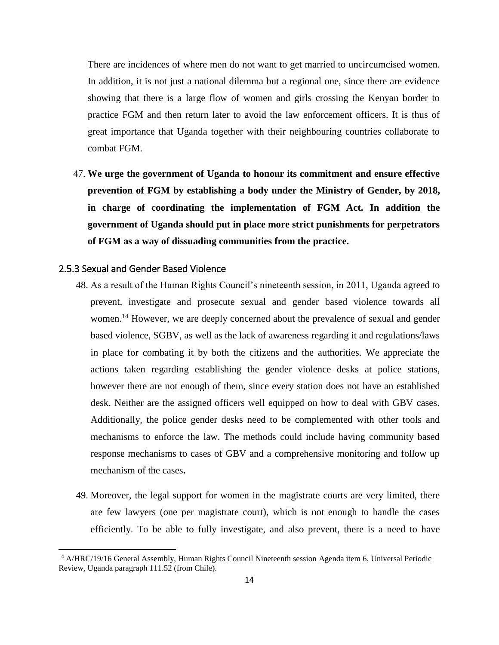There are incidences of where men do not want to get married to uncircumcised women. In addition, it is not just a national dilemma but a regional one, since there are evidence showing that there is a large flow of women and girls crossing the Kenyan border to practice FGM and then return later to avoid the law enforcement officers. It is thus of great importance that Uganda together with their neighbouring countries collaborate to combat FGM.

47. **We urge the government of Uganda to honour its commitment and ensure effective prevention of FGM by establishing a body under the Ministry of Gender, by 2018, in charge of coordinating the implementation of FGM Act. In addition the government of Uganda should put in place more strict punishments for perpetrators of FGM as a way of dissuading communities from the practice.**

### <span id="page-14-0"></span>2.5.3 Sexual and Gender Based Violence

- 48. As a result of the Human Rights Council's nineteenth session, in 2011, Uganda agreed to prevent, investigate and prosecute sexual and gender based violence towards all women.<sup>14</sup> However, we are deeply concerned about the prevalence of sexual and gender based violence, SGBV, as well as the lack of awareness regarding it and regulations/laws in place for combating it by both the citizens and the authorities. We appreciate the actions taken regarding establishing the gender violence desks at police stations, however there are not enough of them, since every station does not have an established desk. Neither are the assigned officers well equipped on how to deal with GBV cases. Additionally, the police gender desks need to be complemented with other tools and mechanisms to enforce the law. The methods could include having community based response mechanisms to cases of GBV and a comprehensive monitoring and follow up mechanism of the cases**.**
- 49. Moreover, the legal support for women in the magistrate courts are very limited, there are few lawyers (one per magistrate court), which is not enough to handle the cases efficiently. To be able to fully investigate, and also prevent, there is a need to have

<sup>&</sup>lt;sup>14</sup> A/HRC/19/16 General Assembly, Human Rights Council Nineteenth session Agenda item 6, Universal Periodic Review, Uganda paragraph 111.52 (from Chile).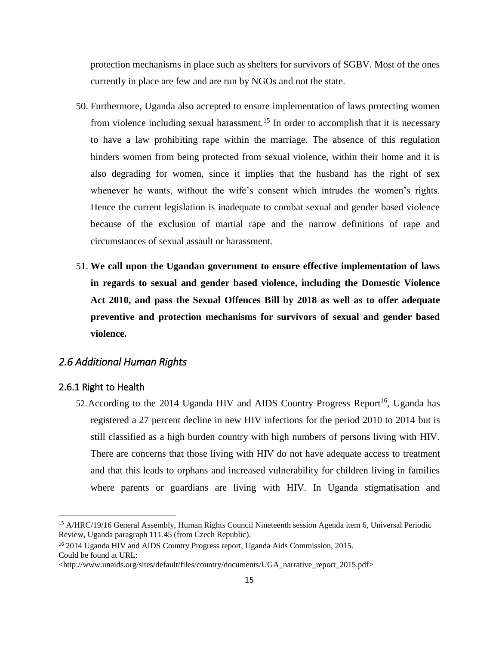protection mechanisms in place such as shelters for survivors of SGBV. Most of the ones currently in place are few and are run by NGOs and not the state.

- 50. Furthermore, Uganda also accepted to ensure implementation of laws protecting women from violence including sexual harassment.<sup>15</sup> In order to accomplish that it is necessary to have a law prohibiting rape within the marriage. The absence of this regulation hinders women from being protected from sexual violence, within their home and it is also degrading for women, since it implies that the husband has the right of sex whenever he wants, without the wife's consent which intrudes the women's rights. Hence the current legislation is inadequate to combat sexual and gender based violence because of the exclusion of martial rape and the narrow definitions of rape and circumstances of sexual assault or harassment.
- 51. **We call upon the Ugandan government to ensure effective implementation of laws in regards to sexual and gender based violence, including the Domestic Violence Act 2010, and pass the Sexual Offences Bill by 2018 as well as to offer adequate preventive and protection mechanisms for survivors of sexual and gender based violence.**

#### <span id="page-15-0"></span>*2.6 Additional Human Rights*

#### <span id="page-15-1"></span>2.6.1 Right to Health

 $\overline{\phantom{a}}$ 

52. According to the 2014 Uganda HIV and AIDS Country Progress Report<sup>16</sup>, Uganda has registered a 27 percent decline in new HIV infections for the period 2010 to 2014 but is still classified as a high burden country with high numbers of persons living with HIV. There are concerns that those living with HIV do not have adequate access to treatment and that this leads to orphans and increased vulnerability for children living in families where parents or guardians are living with HIV. In Uganda stigmatisation and

<sup>&</sup>lt;sup>15</sup> A/HRC/19/16 General Assembly, Human Rights Council Nineteenth session Agenda item 6, Universal Periodic Review, Uganda paragraph 111.45 (from Czech Republic).

<sup>16</sup> 2014 Uganda HIV and AIDS Country Progress report, Uganda Aids Commission, 2015. Could be found at URL:

[<sup>&</sup>lt;http://www.unaids.org/sites/default/files/country/documents/UGA\\_narrative\\_report\\_2015.pdf>](http://www.unaids.org/sites/default/files/country/documents/UGA_narrative_report_2015.pdf)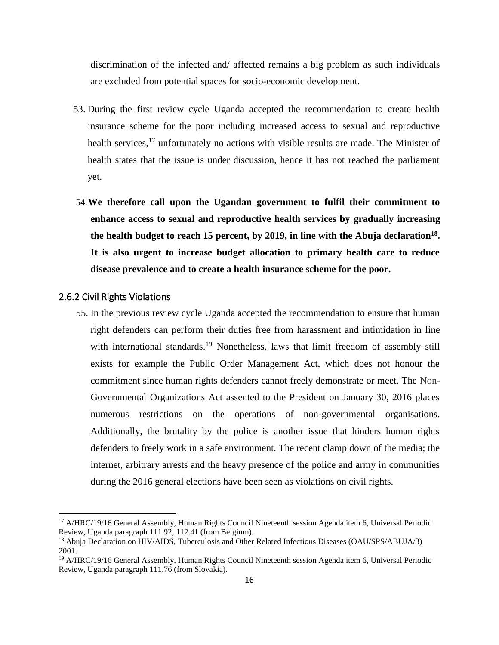discrimination of the infected and/ affected remains a big problem as such individuals are excluded from potential spaces for socio-economic development.

- 53. During the first review cycle Uganda accepted the recommendation to create health insurance scheme for the poor including increased access to sexual and reproductive health services,<sup>17</sup> unfortunately no actions with visible results are made. The Minister of health states that the issue is under discussion, hence it has not reached the parliament yet.
- 54.**We therefore call upon the Ugandan government to fulfil their commitment to enhance access to sexual and reproductive health services by gradually increasing the health budget to reach 15 percent, by 2019, in line with the Abuja declaration<sup>18</sup> . It is also urgent to increase budget allocation to primary health care to reduce disease prevalence and to create a health insurance scheme for the poor.**

#### <span id="page-16-0"></span>2.6.2 Civil Rights Violations

 $\overline{\phantom{a}}$ 

55. In the previous review cycle Uganda accepted the recommendation to ensure that human right defenders can perform their duties free from harassment and intimidation in line with international standards.<sup>19</sup> Nonetheless, laws that limit freedom of assembly still exists for example the Public Order Management Act, which does not honour the commitment since human rights defenders cannot freely demonstrate or meet. The Non-Governmental Organizations Act assented to the President on January 30, 2016 places numerous restrictions on the operations of non-governmental organisations. Additionally, the brutality by the police is another issue that hinders human rights defenders to freely work in a safe environment. The recent clamp down of the media; the internet, arbitrary arrests and the heavy presence of the police and army in communities during the 2016 general elections have been seen as violations on civil rights.

<sup>&</sup>lt;sup>17</sup> A/HRC/19/16 General Assembly, Human Rights Council Nineteenth session Agenda item 6, Universal Periodic Review, Uganda paragraph 111.92, 112.41 (from Belgium).

<sup>18</sup> Abuja Declaration on HIV/AIDS, Tuberculosis and Other Related Infectious Diseases (OAU/SPS/ABUJA/3) 2001.

<sup>&</sup>lt;sup>19</sup> A/HRC/19/16 General Assembly, Human Rights Council Nineteenth session Agenda item 6, Universal Periodic Review, Uganda paragraph 111.76 (from Slovakia).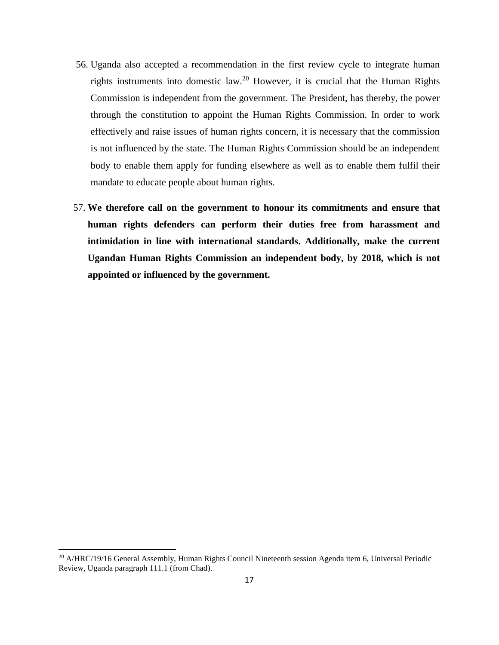- 56. Uganda also accepted a recommendation in the first review cycle to integrate human rights instruments into domestic law.<sup>20</sup> However, it is crucial that the Human Rights Commission is independent from the government. The President, has thereby, the power through the constitution to appoint the Human Rights Commission. In order to work effectively and raise issues of human rights concern, it is necessary that the commission is not influenced by the state. The Human Rights Commission should be an independent body to enable them apply for funding elsewhere as well as to enable them fulfil their mandate to educate people about human rights.
- 57. **We therefore call on the government to honour its commitments and ensure that human rights defenders can perform their duties free from harassment and intimidation in line with international standards. Additionally, make the current Ugandan Human Rights Commission an independent body, by 2018, which is not appointed or influenced by the government.**

<sup>&</sup>lt;sup>20</sup> A/HRC/19/16 General Assembly, Human Rights Council Nineteenth session Agenda item 6, Universal Periodic Review, Uganda paragraph 111.1 (from Chad).